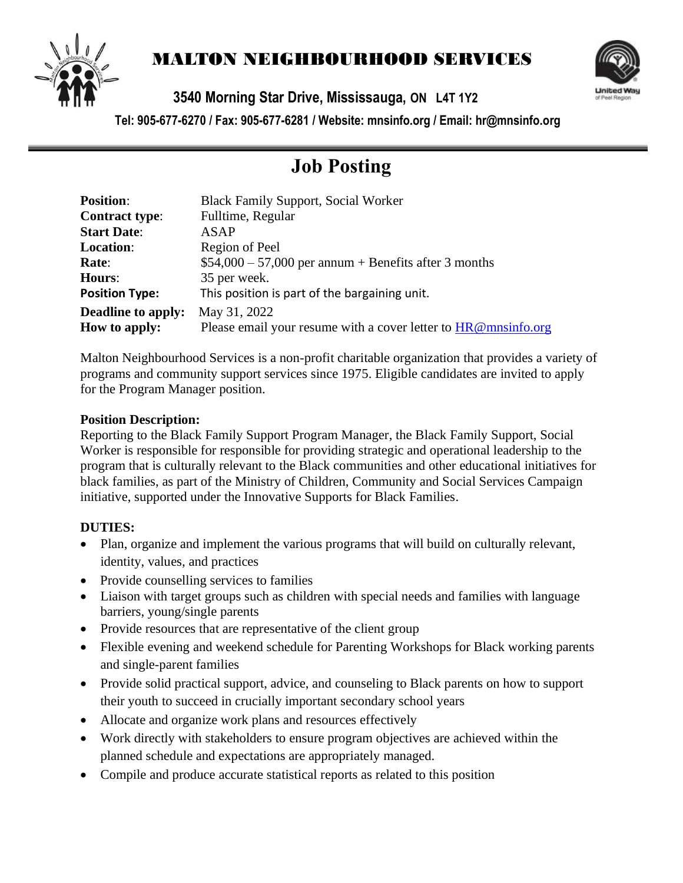

# MALTON NEIGHBOURHOOD SERVICES



**3540 Morning Star Drive, Mississauga, ON L4T 1Y2** 

**Tel: 905-677-6270 / Fax: 905-677-6281 / Website: mnsinfo.org / Email: hr@mnsinfo.org**

# **Job Posting**

| <b>Position:</b>          | <b>Black Family Support, Social Worker</b>                     |
|---------------------------|----------------------------------------------------------------|
| <b>Contract type:</b>     | Fulltime, Regular                                              |
| <b>Start Date:</b>        | ASAP                                                           |
| <b>Location:</b>          | Region of Peel                                                 |
| Rate:                     | $$54,000 - 57,000$ per annum + Benefits after 3 months         |
| <b>Hours:</b>             | 35 per week.                                                   |
| <b>Position Type:</b>     | This position is part of the bargaining unit.                  |
| <b>Deadline to apply:</b> | May 31, 2022                                                   |
| How to apply:             | Please email your resume with a cover letter to HR@mnsinfo.org |

Malton Neighbourhood Services is a non-profit charitable organization that provides a variety of programs and community support services since 1975. Eligible candidates are invited to apply for the Program Manager position.

#### **Position Description:**

Reporting to the Black Family Support Program Manager, the Black Family Support, Social Worker is responsible for responsible for providing strategic and operational leadership to the program that is culturally relevant to the Black communities and other educational initiatives for black families, as part of the Ministry of Children, Community and Social Services Campaign initiative, supported under the Innovative Supports for Black Families.

## **DUTIES:**

- Plan, organize and implement the various programs that will build on culturally relevant, identity, values, and practices
- Provide counselling services to families
- Liaison with target groups such as children with special needs and families with language barriers, young/single parents
- Provide resources that are representative of the client group
- Flexible evening and weekend schedule for Parenting Workshops for Black working parents and single-parent families
- Provide solid practical support, advice, and counseling to Black parents on how to support their youth to succeed in crucially important secondary school years
- Allocate and organize work plans and resources effectively
- Work directly with stakeholders to ensure program objectives are achieved within the planned schedule and expectations are appropriately managed.
- Compile and produce accurate statistical reports as related to this position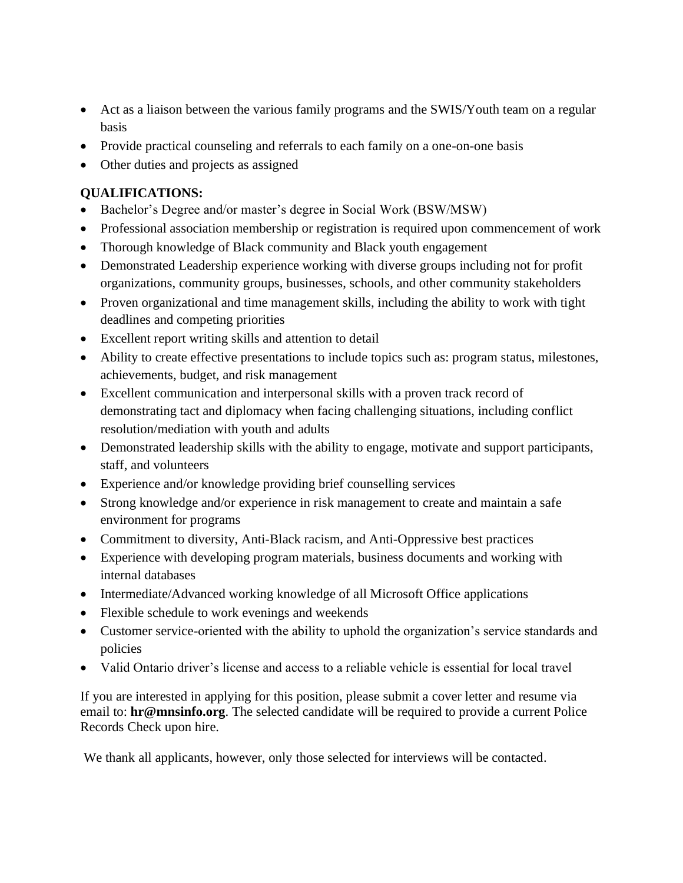- Act as a liaison between the various family programs and the SWIS/Youth team on a regular basis
- Provide practical counseling and referrals to each family on a one-on-one basis
- Other duties and projects as assigned

### **QUALIFICATIONS:**

- Bachelor's Degree and/or master's degree in Social Work (BSW/MSW)
- Professional association membership or registration is required upon commencement of work
- Thorough knowledge of Black community and Black youth engagement
- Demonstrated Leadership experience working with diverse groups including not for profit organizations, community groups, businesses, schools, and other community stakeholders
- Proven organizational and time management skills, including the ability to work with tight deadlines and competing priorities
- Excellent report writing skills and attention to detail
- Ability to create effective presentations to include topics such as: program status, milestones, achievements, budget, and risk management
- Excellent communication and interpersonal skills with a proven track record of demonstrating tact and diplomacy when facing challenging situations, including conflict resolution/mediation with youth and adults
- Demonstrated leadership skills with the ability to engage, motivate and support participants, staff, and volunteers
- Experience and/or knowledge providing brief counselling services
- Strong knowledge and/or experience in risk management to create and maintain a safe environment for programs
- Commitment to diversity, Anti-Black racism, and Anti-Oppressive best practices
- Experience with developing program materials, business documents and working with internal databases
- Intermediate/Advanced working knowledge of all Microsoft Office applications
- Flexible schedule to work evenings and weekends
- Customer service-oriented with the ability to uphold the organization's service standards and policies
- Valid Ontario driver's license and access to a reliable vehicle is essential for local travel

If you are interested in applying for this position, please submit a cover letter and resume via email to: **hr@mnsinfo.org**. The selected candidate will be required to provide a current Police Records Check upon hire.

We thank all applicants, however, only those selected for interviews will be contacted.